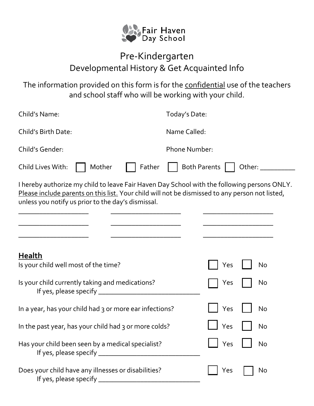

## Pre-Kindergarten Developmental History & Get Acquainted Info

The information provided on this form is for the confidential use of the teachers and school staff who will be working with your child.

| Child's Name:                                                                                                                                                                                                                                        | Today's Date:                 |  |
|------------------------------------------------------------------------------------------------------------------------------------------------------------------------------------------------------------------------------------------------------|-------------------------------|--|
| Child's Birth Date:                                                                                                                                                                                                                                  | Name Called:                  |  |
| Child's Gender:                                                                                                                                                                                                                                      | <b>Phone Number:</b>          |  |
| Child Lives With:<br>Mother<br>Father                                                                                                                                                                                                                | <b>Both Parents</b><br>Other: |  |
| I hereby authorize my child to leave Fair Haven Day School with the following persons ONLY.<br>Please include parents on this list. Your child will not be dismissed to any person not listed,<br>unless you notify us prior to the day's dismissal. |                               |  |
| <b>Health</b><br>Is your child well most of the time?<br>Is your child currently taking and medications?                                                                                                                                             | Yes<br>No<br>No<br>Yes        |  |
|                                                                                                                                                                                                                                                      |                               |  |
| In a year, has your child had 3 or more ear infections?                                                                                                                                                                                              | Yes<br>No                     |  |
| In the past year, has your child had 3 or more colds?                                                                                                                                                                                                | Yes<br>No                     |  |
| Has your child been seen by a medical specialist?                                                                                                                                                                                                    | Yes<br>No                     |  |
| Does your child have any illnesses or disabilities?                                                                                                                                                                                                  | Yes<br>No                     |  |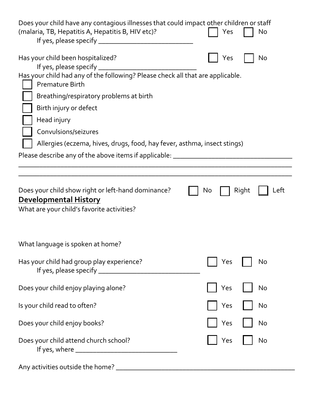| Does your child have any contagious illnesses that could impact other children or staff<br>(malaria, TB, Hepatitis A, Hepatitis B, HIV etc)?                                                                                                                     | Yes<br>No           |  |  |
|------------------------------------------------------------------------------------------------------------------------------------------------------------------------------------------------------------------------------------------------------------------|---------------------|--|--|
| Has your child been hospitalized?<br>If yes, please specify $\_$<br>Has your child had any of the following? Please check all that are applicable.<br><b>Premature Birth</b><br>Breathing/respiratory problems at birth<br>Birth injury or defect<br>Head injury | No<br>Yes           |  |  |
| Convulsions/seizures                                                                                                                                                                                                                                             |                     |  |  |
| Allergies (eczema, hives, drugs, food, hay fever, asthma, insect stings)                                                                                                                                                                                         |                     |  |  |
| Please describe any of the above items if applicable: __________________________                                                                                                                                                                                 |                     |  |  |
|                                                                                                                                                                                                                                                                  |                     |  |  |
| Does your child show right or left-hand dominance?<br><b>Developmental History</b><br>What are your child's favorite activities?                                                                                                                                 | Right<br>Left<br>No |  |  |
| What language is spoken at home?                                                                                                                                                                                                                                 |                     |  |  |
| Has your child had group play experience?                                                                                                                                                                                                                        | Yes<br>No           |  |  |
| Does your child enjoy playing alone?                                                                                                                                                                                                                             | Yes<br>No           |  |  |
| Is your child read to often?                                                                                                                                                                                                                                     | Yes<br>No           |  |  |
| Does your child enjoy books?                                                                                                                                                                                                                                     | Yes<br>No           |  |  |
| Does your child attend church school?                                                                                                                                                                                                                            | No<br>Yes           |  |  |
|                                                                                                                                                                                                                                                                  |                     |  |  |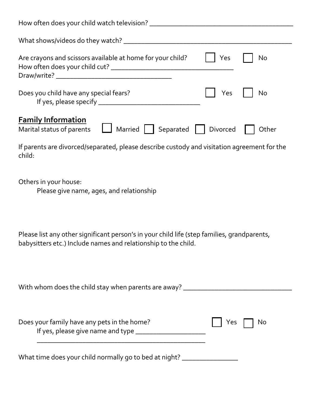| How often does your child watch television? _____                              |          |           |
|--------------------------------------------------------------------------------|----------|-----------|
| What shows/videos do they watch?                                               |          |           |
| Are crayons and scissors available at home for your child?                     | Yes      | <b>No</b> |
| Does you child have any special fears?                                         | Yes      | No        |
| <b>Family Information</b><br>Marital status of parents<br>Married<br>Separated | Divorced | Other     |

If parents are divorced/separated, please describe custody and visitation agreement for the child:

Others in your house:

Please give name, ages, and relationship

Please list any other significant person's in your child life (step families, grandparents, babysitters etc.) Include names and relationship to the child.

| With whom does the child stay when parents are away?                                  |                          |
|---------------------------------------------------------------------------------------|--------------------------|
| Does your family have any pets in the home?<br>If yes, please give name and type ____ | $\vert$   Yes $\vert$ No |

What time does your child normally go to bed at night? \_\_\_\_\_\_\_\_\_\_\_\_\_\_\_\_\_\_\_\_\_\_\_\_\_